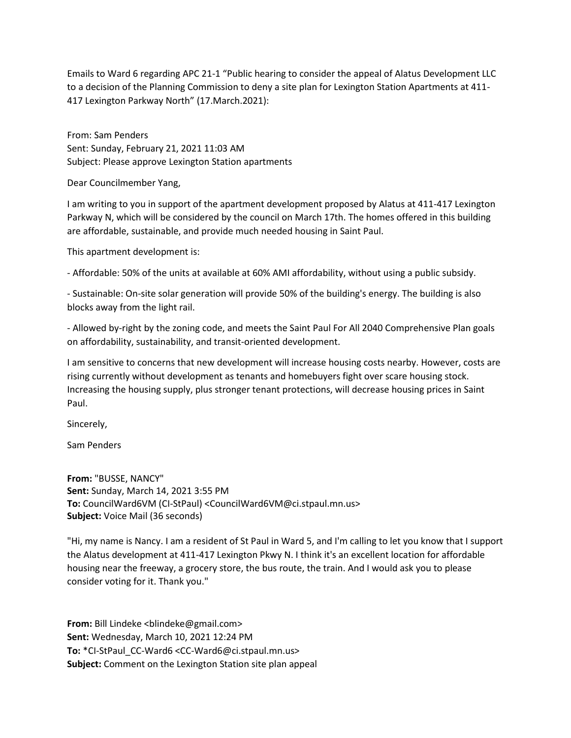Emails to Ward 6 regarding APC 21-1 "Public hearing to consider the appeal of Alatus Development LLC to a decision of the Planning Commission to deny a site plan for Lexington Station Apartments at 411- 417 Lexington Parkway North" (17.March.2021):

From: Sam Penders Sent: Sunday, February 21, 2021 11:03 AM Subject: Please approve Lexington Station apartments

Dear Councilmember Yang,

I am writing to you in support of the apartment development proposed by Alatus at 411-417 Lexington Parkway N, which will be considered by the council on March 17th. The homes offered in this building are affordable, sustainable, and provide much needed housing in Saint Paul.

This apartment development is:

- Affordable: 50% of the units at available at 60% AMI affordability, without using a public subsidy.

- Sustainable: On-site solar generation will provide 50% of the building's energy. The building is also blocks away from the light rail.

- Allowed by-right by the zoning code, and meets the Saint Paul For All 2040 Comprehensive Plan goals on affordability, sustainability, and transit-oriented development.

I am sensitive to concerns that new development will increase housing costs nearby. However, costs are rising currently without development as tenants and homebuyers fight over scare housing stock. Increasing the housing supply, plus stronger tenant protections, will decrease housing prices in Saint Paul.

Sincerely,

Sam Penders

**From:** "BUSSE, NANCY" **Sent:** Sunday, March 14, 2021 3:55 PM **To:** CouncilWard6VM (CI-StPaul) <CouncilWard6VM@ci.stpaul.mn.us> **Subject:** Voice Mail (36 seconds)

"Hi, my name is Nancy. I am a resident of St Paul in Ward 5, and I'm calling to let you know that I support the Alatus development at 411-417 Lexington Pkwy N. I think it's an excellent location for affordable housing near the freeway, a grocery store, the bus route, the train. And I would ask you to please consider voting for it. Thank you."

**From:** Bill Lindeke <blindeke@gmail.com> **Sent:** Wednesday, March 10, 2021 12:24 PM **To:** \*CI-StPaul\_CC-Ward6 <CC-Ward6@ci.stpaul.mn.us> **Subject:** Comment on the Lexington Station site plan appeal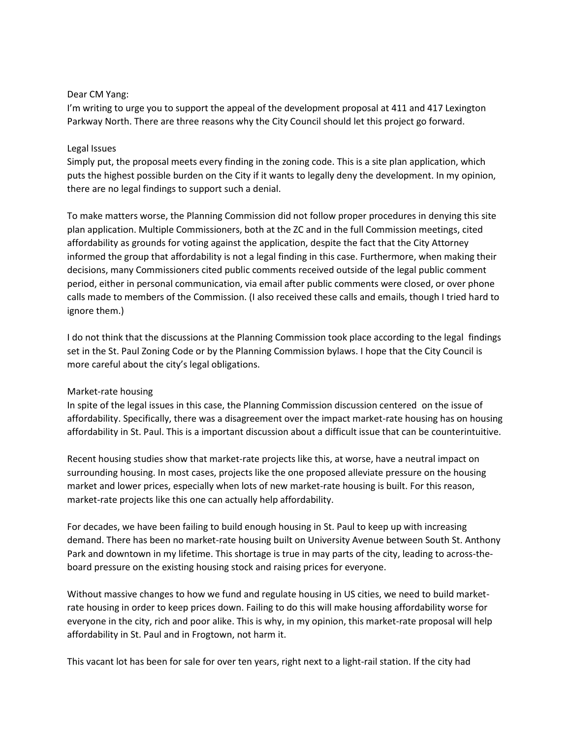## Dear CM Yang:

I'm writing to urge you to support the appeal of the development proposal at 411 and 417 Lexington Parkway North. There are three reasons why the City Council should let this project go forward.

## Legal Issues

Simply put, the proposal meets every finding in the zoning code. This is a site plan application, which puts the highest possible burden on the City if it wants to legally deny the development. In my opinion, there are no legal findings to support such a denial.

To make matters worse, the Planning Commission did not follow proper procedures in denying this site plan application. Multiple Commissioners, both at the ZC and in the full Commission meetings, cited affordability as grounds for voting against the application, despite the fact that the City Attorney informed the group that affordability is not a legal finding in this case. Furthermore, when making their decisions, many Commissioners cited public comments received outside of the legal public comment period, either in personal communication, via email after public comments were closed, or over phone calls made to members of the Commission. (I also received these calls and emails, though I tried hard to ignore them.)

I do not think that the discussions at the Planning Commission took place according to the legal findings set in the St. Paul Zoning Code or by the Planning Commission bylaws. I hope that the City Council is more careful about the city's legal obligations.

## Market-rate housing

In spite of the legal issues in this case, the Planning Commission discussion centered on the issue of affordability. Specifically, there was a disagreement over the impact market-rate housing has on housing affordability in St. Paul. This is a important discussion about a difficult issue that can be counterintuitive.

Recent housing studies show that market-rate projects like this, at worse, have a neutral impact on surrounding housing. In most cases, projects like the one proposed alleviate pressure on the housing market and lower prices, especially when lots of new market-rate housing is built. For this reason, market-rate projects like this one can actually help affordability.

For decades, we have been failing to build enough housing in St. Paul to keep up with increasing demand. There has been no market-rate housing built on University Avenue between South St. Anthony Park and downtown in my lifetime. This shortage is true in may parts of the city, leading to across-theboard pressure on the existing housing stock and raising prices for everyone.

Without massive changes to how we fund and regulate housing in US cities, we need to build marketrate housing in order to keep prices down. Failing to do this will make housing affordability worse for everyone in the city, rich and poor alike. This is why, in my opinion, this market-rate proposal will help affordability in St. Paul and in Frogtown, not harm it.

This vacant lot has been for sale for over ten years, right next to a light-rail station. If the city had